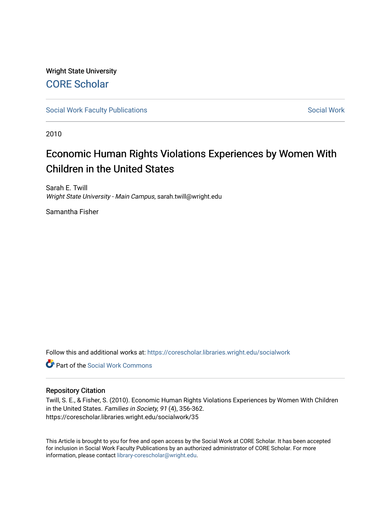Wright State University [CORE Scholar](https://corescholar.libraries.wright.edu/)

[Social Work Faculty Publications](https://corescholar.libraries.wright.edu/socialwork) **Social Work** Social Work

2010

# Economic Human Rights Violations Experiences by Women With Children in the United States

Sarah E. Twill Wright State University - Main Campus, sarah.twill@wright.edu

Samantha Fisher

Follow this and additional works at: [https://corescholar.libraries.wright.edu/socialwork](https://corescholar.libraries.wright.edu/socialwork?utm_source=corescholar.libraries.wright.edu%2Fsocialwork%2F35&utm_medium=PDF&utm_campaign=PDFCoverPages) 

**C** Part of the [Social Work Commons](http://network.bepress.com/hgg/discipline/713?utm_source=corescholar.libraries.wright.edu%2Fsocialwork%2F35&utm_medium=PDF&utm_campaign=PDFCoverPages)

#### Repository Citation

Twill, S. E., & Fisher, S. (2010). Economic Human Rights Violations Experiences by Women With Children in the United States. Families in Society, 91 (4), 356-362. https://corescholar.libraries.wright.edu/socialwork/35

This Article is brought to you for free and open access by the Social Work at CORE Scholar. It has been accepted for inclusion in Social Work Faculty Publications by an authorized administrator of CORE Scholar. For more information, please contact [library-corescholar@wright.edu.](mailto:library-corescholar@wright.edu)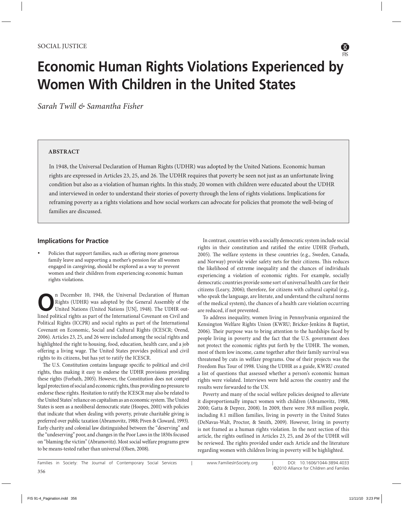# **Economic Human Rights Violations Experienced by Women With Children in the United States**

*Sarah Twill & Samantha Fisher*

### **ABSTRACT**

In 1948, the Universal Declaration of Human Rights (UDHR) was adopted by the United Nations. Economic human rights are expressed in Articles 23, 25, and 26. The UDHR requires that poverty be seen not just as an unfortunate living condition but also as a violation of human rights. In this study, 20 women with children were educated about the UDHR and interviewed in order to understand their stories of poverty through the lens of rights violations. Implications for reframing poverty as a rights violations and how social workers can advocate for policies that promote the well-being of families are discussed.

## **Implications for Practice**

Policies that support families, such as offering more generous family leave and supporting a mother's pension for all women engaged in caregiving, should be explored as a way to prevent women and their children from experiencing economic human rights violations.

**O**n December 10, 1948, the Universal Declaration of Human<br>Rights (UDHR) was adopted by the General Assembly of the<br>United Nations (United Nations [UN], 1948). The UDHR out-Rights (UDHR) was adopted by the General Assembly of the United Nations (United Nations [UN], 1948). The UDHR outlined political rights as part of the International Covenant on Civil and Political Rights (ICCPR) and social rights as part of the International Covenant on Economic, Social and Cultural Rights (ICESCR; Orend, 2006). Articles 23, 25, and 26 were included among the social rights and highlighted the right to housing, food, education, health care, and a job offering a living wage. The United States provides political and civil rights to its citizens, but has yet to ratify the ICESCR.

The U.S. Constitution contains language specific to political and civil rights, thus making it easy to endorse the UDHR provisions providing these rights (Forbath, 2005). However, the Constitution does not compel legal protection of social and economic rights, thus providing no pressure to endorse these rights. Hesitation to ratify the ICESCR may also be related to the United States' reliance on capitalism as an economic system. The United States is seen as a neoliberal democratic state (Hoopes, 2001) with policies that indicate that when dealing with poverty, private charitable giving is preferred over public taxation (Abramovitz, 1988; Piven & Cloward, 1993). Early charity and colonial law distinguished between the "deserving" and the "undeserving" poor, and changes in the Poor Laws in the 1830s focused on "blaming the victim" (Abramovitz). Most social welfare programs grew to be means-tested rather than universal (Olsen, 2008).

In contrast, countries with a socially democratic system include social rights in their constitution and ratified the entire UDHR (Forbath, 2005). The welfare systems in these countries (e.g., Sweden, Canada, and Norway) provide wider safety nets for their citizens. This reduces the likelihood of extreme inequality and the chances of individuals experiencing a violation of economic rights. For example, socially democratic countries provide some sort of universal health care for their citizens (Leary, 2006); therefore, for citizens with cultural capital (e.g., who speak the language, are literate, and understand the cultural norms of the medical system), the chances of a health care violation occurring are reduced, if not prevented.

To address inequality, women living in Pennsylvania organized the Kensington Welfare Rights Union (KWRU; Bricker-Jenkins & Baptist, 2006). Their purpose was to bring attention to the hardships faced by people living in poverty and the fact that the U.S. government does not protect the economic rights put forth by the UDHR. The women, most of them low income, came together after their family survival was threatened by cuts in welfare programs. One of their projects was the Freedom Bus Tour of 1998. Using the UDHR as a guide, KWRU created a list of questions that assessed whether a person's economic human rights were violated. Interviews were held across the country and the results were forwarded to the UN.

Poverty and many of the social welfare policies designed to alleviate it disproportionally impact women with children (Abramovitz, 1988, 2000; Gatta & Deprez, 2008). In 2009, there were 39.8 million people, including 8.1 million families, living in poverty in the United States (DeNavas-Walt, Proctor, & Smith, 2009). However, living in poverty is not framed as a human rights violation. In the next section of this article, the rights outlined in Articles 23, 25, and 26 of the UDHR will be reviewed. The rights provided under each Article and the literature regarding women with children living in poverty will be highlighted.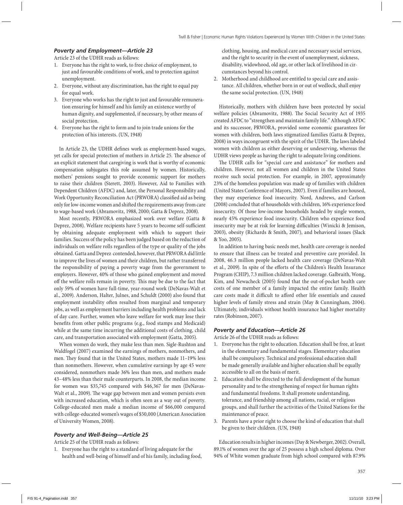#### *Poverty and Employment—Article 23*

Article 23 of the UDHR reads as follows:

- 1. Everyone has the right to work, to free choice of employment, to just and favourable conditions of work, and to protection against unemployment.
- 2. Everyone, without any discrimination, has the right to equal pay for equal work.
- 3. Everyone who works has the right to just and favourable remuneration ensuring for himself and his family an existence worthy of human dignity, and supplemented, if necessary, by other means of social protection.
- 4. Everyone has the right to form and to join trade unions for the protection of his interests. (UN, 1948)

In Article 23, the UDHR defines work as employment-based wages, yet calls for special protection of mothers in Article 25. The absence of an explicit statement that caregiving is work that is worthy of economic compensation subjugates this role assumed by women. Historically, mothers' pensions sought to provide economic support for mothers to raise their children (Sterett, 2003). However, Aid to Families with Dependent Children (AFDC) and, later, the Personal Responsibility and Work Opportunity Reconciliation Act (PRWORA) classified aid as being only for low-income women and shifted the requirements away from care to wage-based work (Abramovitz, 1988, 2000; Gatta & Deprez, 2008).

Most recently, PRWORA emphasized work over welfare (Gatta & Deprez, 2008). Welfare recipients have 5 years to become self-sufficient by obtaining adequate employment with which to support their families. Success of the policy has been judged based on the reduction of individuals on welfare rolls regardless of the type or quality of the jobs obtained. Gatta and Deprez contended, however, that PRWORA did little to improve the lives of women and their children, but rather transferred the responsibility of paying a poverty wage from the government to employers. However, 40% of those who gained employment and moved off the welfare rolls remain in poverty. This may be due to the fact that only 59% of women have full-time, year-round work (DeNavas-Walt et al., 2009). Anderson, Halter, Julnes, and Schuldt (2000) also found that employment instability often resulted from marginal and temporary jobs, as well as employment barriers including health problems and lack of day care. Further, women who leave welfare for work may lose their benefits from other public programs (e.g., food stamps and Medicaid) while at the same time incurring the additional costs of clothing, child care, and transportation associated with employment (Gatta, 2005).

When women do work, they make less than men. Sigle-Rushton and Waldfogel (2007) examined the earnings of mothers, nonmothers, and men. They found that in the United States, mothers made 11–19% less than nonmothers. However, when cumulative earnings by age 45 were considered, nonmothers made 36% less than men, and mothers made 43–48% less than their male counterparts. In 2008, the median income for women was \$35,745 compared with \$46,367 for men (DeNavas-Walt et al., 2009). The wage gap between men and women persists even with increased education, which is often seen as a way out of poverty. College-educated men made a median income of \$66,000 compared with college-educated women's wages of \$50,000 (American Association of University Women, 2008).

#### *Poverty and Well-Being—Article 25*

Article 25 of the UDHR reads as follows:

1. Everyone has the right to a standard of living adequate for the health and well-being of himself and of his family, including food, clothing, housing, and medical care and necessary social services, and the right to security in the event of unemployment, sickness, disability, widowhood, old age, or other lack of livelihood in circumstances beyond his control.

2. Motherhood and childhood are entitled to special care and assistance. All children, whether born in or out of wedlock, shall enjoy the same social protection. (UN, 1948)

Historically, mothers with children have been protected by social welfare policies (Abramovitz, 1988). The Social Security Act of 1935 created AFDC to "strengthen and maintain family life." Although AFDC and its successor, PRWORA, provided some economic guarantees for women with children, both laws stigmatized families (Gatta & Deprez, 2008) in ways incongruent with the spirit of the UDHR. The laws labeled women with children as either deserving or undeserving, whereas the UDHR views people as having the right to adequate living conditions.

The UDHR calls for "special care and assistance" for mothers and children. However, not all women and children in the United States receive such social protection. For example, in 2007, approximately 23% of the homeless population was made up of families with children (United States Conference of Mayors, 2007). Even if families are housed, they may experience food insecurity. Nord, Andrews, and Carlson (2008) concluded that of households with children, 16% experience food insecurity. Of those low-income households headed by single women, nearly 45% experience food insecurity. Children who experience food insecurity may be at risk for learning difficulties (Winicki & Jemison, 2003), obesity (Richards & Smith, 2007), and behavioral issues (Slack & Yoo, 2005).

In addition to having basic needs met, health care coverage is needed to ensure that illness can be treated and preventive care provided. In 2008, 46.3 million people lacked health care coverage (DeNavas-Walt et al., 2009). In spite of the efforts of the Children's Health Insurance Program (CHIP), 7.3 million children lacked coverage. Galbraith, Wong, Kim, and Newacheck (2005) found that the out-of-pocket health care costs of one member of a family impacted the entire family. Health care costs made it difficult to afford other life essentials and caused higher levels of family stress and strain (May & Cunningham, 2004). Ultimately, individuals without health insurance had higher mortality rates (Robinson, 2007).

#### *Poverty and Education—Article 26*

Article 26 of the UDHR reads as follows:

- 1. Everyone has the right to education. Education shall be free, at least in the elementary and fundamental stages. Elementary education shall be compulsory. Technical and professional education shall be made generally available and higher education shall be equally accessible to all on the basis of merit.
- 2. Education shall be directed to the full development of the human personality and to the strengthening of respect for human rights and fundamental freedoms. It shall promote understanding, tolerance, and friendship among all nations, racial, or religious groups, and shall further the activities of the United Nations for the maintenance of peace.
- 3. Parents have a prior right to choose the kind of education that shall be given to their children. (UN, 1948)

Education results in higher incomes (Day & Newberger, 2002). Overall, 89.1% of women over the age of 25 possess a high school diploma. Over 94% of White women graduate from high school compared with 87.9%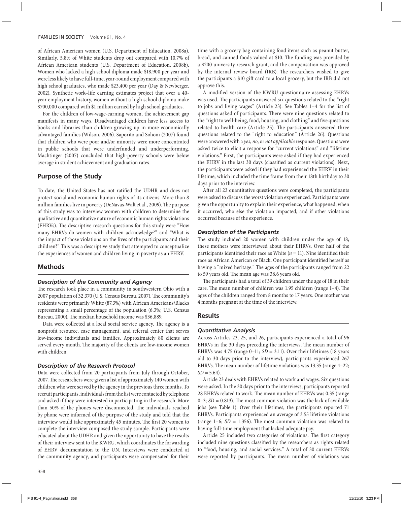of African American women (U.S. Department of Education, 2008a). Similarly, 5.8% of White students drop out compared with 10.7% of African American students (U.S. Department of Education, 2008b). Women who lacked a high school diploma made \$18,900 per year and were less likely to have full-time, year-round employment compared with high school graduates, who made \$23,400 per year (Day & Newberger, 2002). Synthetic work–life earning estimates project that over a 40 year employment history, women without a high school diploma make \$700,000 compared with \$1 million earned by high school graduates.

For the children of low-wage-earning women, the achievement gap manifests in many ways. Disadvantaged children have less access to books and libraries than children growing up in more economically advantaged families (Wilson, 2006). Saporito and Sohoni (2007) found that children who were poor and/or minority were more concentrated in public schools that were underfunded and underperforming. Machtinger (2007) concluded that high-poverty schools were below average in student achievement and graduation rates.

#### **Purpose of the Study**

To date, the United States has not ratified the UDHR and does not protect social and economic human rights of its citizens. More than 8 million families live in poverty (DeNavas-Walt et al., 2009). The purpose of this study was to interview women with children to determine the qualitative and quantitative nature of economic human rights violations (EHRVs). The descriptive research questions for this study were "How many EHRVs do women with children acknowledge?" and "What is the impact of those violations on the lives of the participants and their children?" This was a descriptive study that attempted to conceptualize the experiences of women and children living in poverty as an EHRV.

#### **Methods**

#### *Description of the Community and Agency*

The research took place in a community in southwestern Ohio with a 2007 population of 32,370 (U.S. Census Bureau, 2007). The community's residents were primarily White (87.3%) with African Americans/Blacks representing a small percentage of the population (6.3%; U.S. Census Bureau, 2000). The median household income was \$36,889.

Data were collected at a local social service agency. The agency is a nonprofit resource, case management, and referral center that serves low-income individuals and families. Approximately 80 clients are served every month. The majority of the clients are low-income women with children.

#### *Description of the Research Protocol*

Data were collected from 20 participants from July through October, 2007. The researchers were given a list of approximately 140 women with children who were served by the agency in the previous three months. To recruit participants, individuals from the list were contacted by telephone and asked if they were interested in participating in the research. More than 50% of the phones were disconnected. The individuals reached by phone were informed of the purpose of the study and told that the interview would take approximately 45 minutes. The first 20 women to complete the interview composed the study sample. Participants were educated about the UDHR and given the opportunity to have the results of their interview sent to the KWRU, which coordinates the forwarding of EHRV documentation to the UN. Interviews were conducted at the community agency, and participants were compensated for their

time with a grocery bag containing food items such as peanut butter, bread, and canned foods valued at \$10. The funding was provided by a \$200 university research grant, and the compensation was approved by the internal review board (IRB). The researchers wished to give the participants a \$10 gift card to a local grocery, but the IRB did not approve this.

A modified version of the KWRU questionnaire assessing EHRVs was used. The participants answered six questions related to the "right to jobs and living wages" (Article 23). See Tables 1–4 for the list of questions asked of participants. There were nine questions related to the "right to well-being, food, housing, and clothing" and five questions related to health care (Article 25). The participants answered three questions related to the "right to education" (Article 26). Questions were answered with a *yes*, *no*, or *not applicable* response. Questions were asked twice to elicit a response for "current violations" and "lifetime violations." First, the participants were asked if they had experienced the EHRV in the last 30 days (classified as current violations). Next, the participants were asked if they had experienced the EHRV in their lifetime, which included the time frame from their 18th birthday to 30 days prior to the interview.

After all 23 quantitative questions were completed, the participants were asked to discuss the worst violation experienced. Participants were given the opportunity to explain their experience, what happened, when it occurred, who else the violation impacted, and if other violations occurred because of the experience.

#### *Description of the Participants*

The study included 20 women with children under the age of 18; these mothers were interviewed about their EHRVs. Over half of the participants identified their race as White  $(n = 11)$ . Nine identified their race as African American or Black. One participant identified herself as having a "mixed heritage." The ages of the participants ranged from 22 to 59 years old. The mean age was 38.6 years old.

The participants had a total of 39 children under the age of 18 in their care. The mean number of children was 1.95 children (range 1–4). The ages of the children ranged from 8 months to 17 years. One mother was 4 months pregnant at the time of the interview.

#### **Results**

#### *Quantitative Analysis*

Across Articles 23, 25, and 26, participants experienced a total of 96 EHRVs in the 30 days preceding the interviews. The mean number of EHRVs was 4.75 (range  $0-11$ ;  $SD = 3.11$ ). Over their lifetimes (18 years old to 30 days prior to the interview), participants experienced 267 EHRVs. The mean number of lifetime violations was 13.35 (range 4–22;  $SD = 5.64$ .

Article 23 deals with EHRVs related to work and wages. Six questions were asked. In the 30 days prior to the interviews, participants reported 28 EHRVs related to work. The mean number of EHRVs was 0.35 (range 0–3; *SD* = 0.813). The most common violation was the lack of available jobs (see Table 1). Over their lifetimes, the participants reported 71 EHRVs. Participants experienced an average of 3.55 lifetime violations (range  $1-6$ ;  $SD = 1.356$ ). The most common violation was related to having full-time employment that lacked adequate pay.

Article 25 included two categories of violations. The first category included nine questions classified by the researchers as rights related to "food, housing, and social services." A total of 30 current EHRVs were reported by participants. The mean number of violations was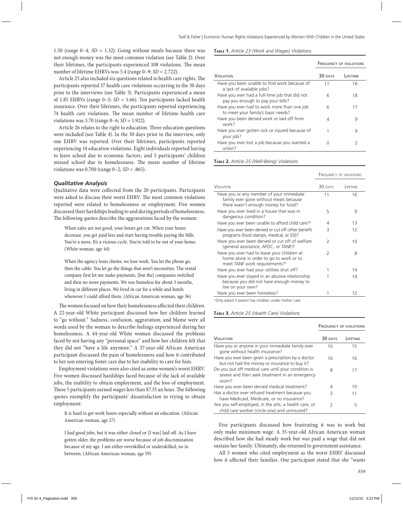1.50 (range  $0-4$ ;  $SD = 1.32$ ). Going without meals because there was not enough money was the most common violation (see Table 2). Over their lifetimes, the participants experienced 108 violations. The mean number of lifetime EHRVs was 5.4 (range 0–9; *SD* = 2.722).

Article 25 also included six questions related to health care rights. The participants reported 37 health care violations occurring in the 30 days prior to the interviews (see Table 3). Participants experienced a mean of 1.85 EHRVs (range 0–5; *SD* = 1.66). Ten participants lacked health insurance. Over their lifetimes, the participants reported experiencing 74 health care violations. The mean number of lifetime health care violations was 3.70 (range 0–6; *SD* = 1.922).

Article 26 relates to the right to education. Three education questions were included (see Table 4). In the 30 days prior to the interview, only one EHRV was reported. Over their lifetimes, participants reported experiencing 14 education violations. Eight individuals reported having to leave school due to economic factors, and 5 participants' children missed school due to homelessness. The mean number of lifetime violations was 0.700 (range 0–2; *SD* = .865).

#### *Qualitative Analysis*

Qualitative data were collected from the 20 participants. Participants were asked to discuss their worst EHRV. The most common violations reported were related to homelessness or employment. Five women discussed their hardships leading to and during periods of homelessness. The following quotes describe the aggravations faced by the women:

When sales are not good, your hours get cut. When your hours decrease, you get paid less and start having trouble paying the bills. You're a mess. It's a vicious cycle. You're told to be out of your home. (White woman, age 44)

When the agency loses clients, we lose work. You let the phone go, then the cable. You let go the things that aren't necessities. The rental company first let me make payments, [but the] companies switched and then no more payments. We was homeless for about 3 months, living in different places. We lived in car for a while and hotels whenever I could afford them. (African American woman, age 36)

The women focused on how their homelessness affected their children. A 22-year-old White participant discussed how her children learned to "go without." Sadness, confusion, aggravation, and blame were all words used by the woman to describe feelings experienced during her homelessness. A 44-year-old White woman discussed the problems faced by not having any "personal space" and how her children felt that they did not "have a life anymore." A 37-year-old African American participant discussed the pain of homelessness and how it contributed to her son entering foster care due to her inability to care for him.

Employment violations were also cited as some women's worst EHRV. Five women discussed hardships faced because of the lack of available jobs, the inability to obtain employment, and the loss of employment. These 5 participants earned wages less than \$7.35 an hour. The following quotes exemplify the participants' dissatisfaction in trying to obtain employment:

It is hard to get work hours especially without an education. (African American woman, age 27)

I had good jobs, but it was either closed or [I was] laid off. As I have gotten older, the problems are worse because of job discrimination because of my age. I am either overskilled or underskilled, no in between. (African American woman, age 59)

#### **Table 1.** *Article 23 (Work and Wages) Violations*

|                                                                                     | <b>FREQUENCY OF VIOLATIONS</b> |          |
|-------------------------------------------------------------------------------------|--------------------------------|----------|
| <b>VIOLATION</b>                                                                    | 30 DAYS                        | LIFETIME |
| Have you been unable to find work because of<br>a lack of available jobs?           | 11                             | 16       |
| Have you ever had a full-time job that did not<br>pay you enough to pay your bills? | 6                              | 18       |
| Have you ever had to work more than one job<br>to meet your family's basic needs?   | 6                              | 17       |
| Have you been denied work or laid off from<br>work?                                 | 4                              | 9        |
| Have you ever gotten sick or injured because of<br>your job?                        |                                | 9        |
| Have you ever lost a job because you wanted a<br>union?                             |                                | 2        |

**Table 2.** *Article 25 (Well-Being) Violations*

|                                                                                                                                     | FREQUENCY OF VIOLATIONS |          |
|-------------------------------------------------------------------------------------------------------------------------------------|-------------------------|----------|
| <b>VIOLATION</b>                                                                                                                    | 30 DAYS                 | LIFFTIME |
| Have you or any member of your immediate<br>family ever gone without meals because<br>there wasn't enough money for food?           | 11                      | 16       |
| Have you ever lived in a house that was in<br>dangerous condition?                                                                  | 5                       | 9        |
| Have you ever been unable to afford child care? <sup>a</sup>                                                                        | 4                       | 13       |
| Have you ever been denied or cut off other benefit<br>programs (food stamps, medical, or SSI)?                                      | 3                       | 12       |
| Have you ever been denied or cut off of welfare<br>(general assistance, AFDC, or TANF)?                                             | $\mathcal{L}$           | 10       |
| Have you ever had to leave your children at<br>home alone in order to go to work or to<br>meet TANF work requirements? <sup>a</sup> | $\overline{2}$          | 8        |
| Have you ever had your utilities shut off?                                                                                          |                         | 14       |
| Have you ever stayed in an abusive relationship<br>because you did not have enough money to<br>live on your own?                    |                         | 14       |
| Have you ever been homeless?                                                                                                        |                         | 12       |

a Only asked if parent has children under his/her care.

**Table 3.** *Article 25 (Health Care) Violations*

| <b>VIOLATION</b>                                                                                               | 30 DAYS                  | <b>I</b> IFFTIME |
|----------------------------------------------------------------------------------------------------------------|--------------------------|------------------|
| Have you or anyone in your immediate family ever<br>gone without health insurance?                             | 10                       | 15               |
| Have you ever been given a prescription by a doctor<br>but not had the money or insurance to buy it?           | 10                       | 16               |
| Do you put off medical care until your condition is<br>severe and then seek treatment in an emergency<br>room? | 8                        | 17               |
| Have you ever been denied medical treatment?                                                                   | 4                        | 10               |
| Has a doctor ever refused treatment because you<br>have Medicaid, Medicare, or no insurance?                   | Β                        | 11               |
| Are you self-employed, in the arts, a health care, or<br>child care worker (circle one) and uninsured?         | $\overline{\phantom{0}}$ | 5                |

Five participants discussed how frustrating it was to work but only make minimum wage. A 35-year-old African American woman described how she had steady work but was paid a wage that did not sustain her family. Ultimately, she returned to government assistance.

All 5 women who cited employment as the worst EHRV discussed how it affected their families. One participant stated that she "wants

FREQUENCY OF VIOLATIONS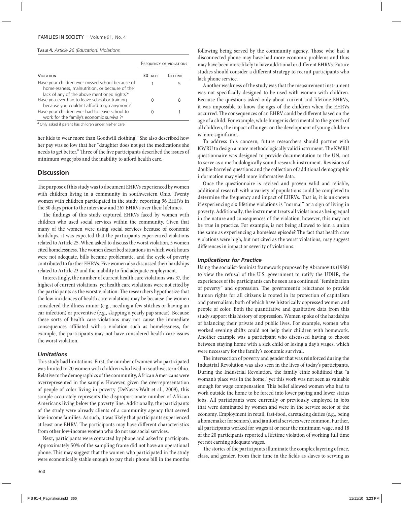#### **Table 4.** *Article 26 (Education) Violations*

|                                                                                                                                                              |         | <b>FREQUENCY OF VIOLATIONS</b> |
|--------------------------------------------------------------------------------------------------------------------------------------------------------------|---------|--------------------------------|
| <b>VIOLATION</b>                                                                                                                                             | 30 DAYS | <b>I</b> IFFTIME               |
| Have your children ever missed school because of<br>homelessness, malnutrition, or because of the<br>lack of any of the above mentioned rights? <sup>a</sup> |         |                                |
| Have you ever had to leave school or training<br>because you couldn't afford to go anymore?                                                                  |         | 8                              |
| Have your children ever had to leave school to<br>work for the family's economic survival? <sup>a</sup>                                                      |         |                                |

a Only asked if parent has children under his/her care.

her kids to wear more than Goodwill clothing." She also described how her pay was so low that her "daughter does not get the medications she needs to get better." Three of the five participants described the issues of minimum wage jobs and the inability to afford health care.

#### **Discussion**

The purpose of this study was to document EHRVs experienced by women with children living in a community in southwestern Ohio. Twenty women with children participated in the study, reporting 96 EHRVs in the 30 days prior to the interview and 267 EHRVs over their lifetimes.

The findings of this study captured EHRVs faced by women with children who used social services within the community. Given that many of the women were using social services because of economic hardships, it was expected that the participants experienced violations related to Article 25. When asked to discuss the worst violation, 5 women cited homelessness. The women described situations in which work hours were not adequate, bills became problematic, and the cycle of poverty contributed to further EHRVs. Five women also discussed their hardships related to Article 23 and the inability to find adequate employment.

Interestingly, the number of current health care violations was 37, the highest of current violations, yet health care violations were not cited by the participants as the worst violation. The researchers hypothesize that the low incidences of health care violations may be because the women considered the illness minor (e.g., needing a few stitches or having an ear infection) or preventive (e.g., skipping a yearly pap smear). Because these sorts of health care violations may not cause the immediate consequences affiliated with a violation such as homelessness, for example, the participants may not have considered health care issues the worst violation.

#### *Limitations*

This study had limitations. First, the number of women who participated was limited to 20 women with children who lived in southwestern Ohio. Relative to the demographics of the community, African Americans were overrepresented in the sample. However, given the overrepresentation of people of color living in poverty (DeNavas-Walt et al., 2009), this sample accurately represents the disproportionate number of African Americans living below the poverty line. Additionally, the participants of the study were already clients of a community agency that served low-income families. As such, it was likely that participants experienced at least one EHRV. The participants may have different characteristics from other low-income women who do not use social services.

Next, participants were contacted by phone and asked to participate. Approximately 50% of the sampling frame did not have an operational phone. This may suggest that the women who participated in the study were economically stable enough to pay their phone bill in the months

following being served by the community agency. Those who had a disconnected phone may have had more economic problems and thus may have been more likely to have additional or different EHRVs. Future studies should consider a different strategy to recruit participants who lack phone service.

Another weakness of the study was that the measurement instrument was not specifically designed to be used with women with children. Because the questions asked only about current and lifetime EHRVs, it was impossible to know the ages of the children when the EHRVs occurred. The consequences of an EHRV could be different based on the age of a child. For example, while hunger is detrimental to the growth of all children, the impact of hunger on the development of young children is more significant.

To address this concern, future researchers should partner with KWRU to design a more methodologically valid instrument. The KWRU questionnaire was designed to provide documentation to the UN, not to serve as a methodologically sound research instrument. Revisions of double-barreled questions and the collection of additional demographic information may yield more informative data.

Once the questionnaire is revised and proven valid and reliable, additional research with a variety of populations could be completed to determine the frequency and impact of EHRVs. That is, it is unknown if experiencing six lifetime violations is "normal" or a sign of living in poverty. Additionally, the instrument treats all violations as being equal in the nature and consequences of the violation; however, this may not be true in practice. For example, is not being allowed to join a union the same as experiencing a homeless episode? The fact that health care violations were high, but not cited as the worst violations, may suggest differences in impact or severity of violations.

#### *Implications for Practice*

Using the socialist-feminist framework proposed by Abramovitz (1988) to view the refusal of the U.S. government to ratify the UDHR, the experiences of the participants can be seen as a continued "feminization of poverty" and oppression. The government's reluctance to provide human rights for all citizens is rooted in its protection of capitalism and paternalism, both of which have historically oppressed women and people of color. Both the quantitative and qualitative data from this study support this history of oppression. Women spoke of the hardships of balancing their private and public lives. For example, women who worked evening shifts could not help their children with homework. Another example was a participant who discussed having to choose between staying home with a sick child or losing a day's wages, which were necessary for the family's economic survival.

The intersection of poverty and gender that was reinforced during the Industrial Revolution was also seen in the lives of today's participants. During the Industrial Revolution, the family ethic solidified that "a woman's place was in the home," yet this work was not seen as valuable enough for wage compensation. This belief allowed women who had to work outside the home to be forced into lower paying and lower status jobs. All participants were currently or previously employed in jobs that were dominated by women and were in the service sector of the economy. Employment in retail, fast-food, caretaking duties (e.g., being a homemaker for seniors), and janitorial services were common. Further, all participants worked for wages at or near the minimum wage, and 18 of the 20 participants reported a lifetime violation of working full time yet not earning adequate wages.

The stories of the participants illuminate the complex layering of race, class, and gender. From their time in the fields as slaves to serving as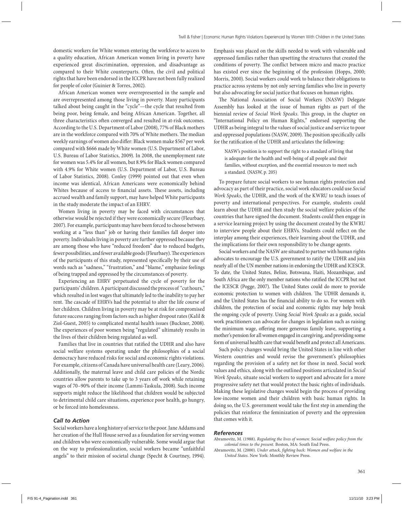domestic workers for White women entering the workforce to access to a quality education, African American women living in poverty have experienced great discrimination, oppression, and disadvantage as compared to their White counterparts. Often, the civil and political rights that have been endorsed in the ICCPR have not been fully realized for people of color (Guinier & Torres, 2002).

African American women were overrepresented in the sample and are overrepresented among those living in poverty. Many participants talked about being caught in the "cycle"—the cycle that resulted from being poor, being female, and being African American. Together, all three characteristics often converged and resulted in at-risk outcomes. According to the U.S. Department of Labor (2008), 77% of Black mothers are in the workforce compared with 70% of White mothers. The median weekly earnings of women also differ: Black women make \$567 per week compared with \$666 made by White women (U.S. Department of Labor, U.S. Bureau of Labor Statistics, 2009). In 2008, the unemployment rate for women was 5.4% for all women, but 8.9% for Black women compared with 4.9% for White women (U.S. Department of Labor, U.S. Bureau of Labor Statistics, 2008). Conley (1999) pointed out that even when income was identical, African Americans were economically behind Whites because of access to financial assets. These assets, including accrued wealth and family support, may have helped White participants in the study moderate the impact of an EHRV.

Women living in poverty may be faced with circumstances that otherwise would be rejected if they were economically secure (Fleurbaey, 2007). For example, participants may have been forced to choose between working at a "less than" job or having their families fall deeper into poverty. Individuals living in poverty are further oppressed because they are among those who have "reduced freedom" due to reduced budgets, fewer possibilities, and fewer available goods (Fleurbaey). The experiences of the participants of this study, represented specifically by their use of words such as "sadness," "frustration," and "blame," emphasize feelings of being trapped and oppressed by the circumstances of poverty.

Experiencing an EHRV perpetuated the cycle of poverty for the participants' children. A participant discussed the process of "cut hours," which resulted in lost wages that ultimately led to the inability to pay her rent. The cascade of EHRVs had the potential to alter the life course of her children. Children living in poverty may be at risk for compromised future success ranging from factors such as higher dropout rates (Kalil & Ziol-Guest, 2005) to complicated mental health issues (Buckner, 2008). The experiences of poor women being "regulated" ultimately results in the lives of their children being regulated as well.

Families that live in countries that ratified the UDHR and also have social welfare systems operating under the philosophies of a social democracy have reduced risks for social and economic rights violations. For example, citizens of Canada have universal health care (Leary, 2006). Additionally, the maternal leave and child care policies of the Nordic countries allow parents to take up to 3 years off work while retaining wages of 70–90% of their income (Lammi-Taskula, 2008). Such income supports might reduce the likelihood that children would be subjected to detrimental child care situations, experience poor health, go hungry, or be forced into homelessness.

#### *Call to Action*

Social workers have a long history of service to the poor. Jane Addams and her creation of the Hull House served as a foundation for serving women and children who were economically vulnerable. Some would argue that on the way to professionalization, social workers became "unfaithful angels" to their mission of societal change (Specht & Courtney, 1994).

Emphasis was placed on the skills needed to work with vulnerable and oppressed families rather than upsetting the structures that created the conditions of poverty. The conflict between micro and macro practice has existed ever since the beginning of the profession (Hopps, 2000; Morris, 2000). Social workers could work to balance their obligations to practice across systems by not only serving families who live in poverty but also advocating for social justice that focuses on human rights.

The National Association of Social Workers (NASW) Delegate Assembly has looked at the issue of human rights as part of the biennial review of *Social Work Speaks*. This group, in the chapter on "International Policy on Human Rights," endorsed supporting the UDHR as being integral to the values of social justice and service to poor and oppressed populations (NASW, 2009). The position specifically calls for the ratification of the UDHR and articulates the following:

NASW's position is to support the right to a standard of living that is adequate for the health and well-being of all people and their families, without exception, and the essential resources to meet such a standard. (NASW, p. 205)

To prepare future social workers to see human rights protection and advocacy as part of their practice, social work educators could use *Social Work Speaks*, the UDHR, and the work of the KWRU to teach issues of poverty and international perspectives. For example, students could learn about the UDHR and then study the social welfare policies of the countries that have signed the document. Students could then engage in a service learning project by using the document created by the KWRU to interview people about their EHRVs. Students could reflect on the interplay among their experiences, their learning about the UDHR, and the implications for their own responsibility to be change agents.

Social workers and the NASW are situated to partner with human rights advocates to encourage the U.S. government to ratify the UDHR and join nearly all of the UN member nations in endorsing the UDHR and ICESCR. To date, the United States, Belize, Botswana, Haiti, Mozambique, and South Africa are the only member nations who ratified the ICCPR but not the ICESCR (Pogge, 2007). The United States could do more to provide economic protection to women with children. The UDHR demands it, and the United States has the financial ability to do so. For women with children, the protection of social and economic rights may help break the ongoing cycle of poverty. Using *Social Work Speaks* as a guide, social work practitioners can advocate for changes in legislation such as raising the minimum wage, offering more generous family leave, supporting a mother's pension for all women engaged in caregiving, and providing some form of universal health care that would benefit and protect all Americans.

Such policy changes would bring the United States in line with other Western countries and would revise the government's philosophies regarding the provision of a safety net for those in need. Social work values and ethics, along with the outlined positions articulated in *Social Work Speaks*, situate social workers to support and advocate for a more progressive safety net that would protect the basic rights of individuals. Making these legislative changes would begin the process of providing low-income women and their children with basic human rights. In doing so, the U.S. government would take the first step in amending the policies that reinforce the feminization of poverty and the oppression that comes with it.

#### *References*

Abramovitz, M. (1988). *Regulating the lives of women: Social welfare policy from the colonial times to the present.* Boston, MA: South End Press.

Abramovitz, M. (2000). *Under attack, fighting back: Women and welfare in the United States*. New York: Monthly Review Press.